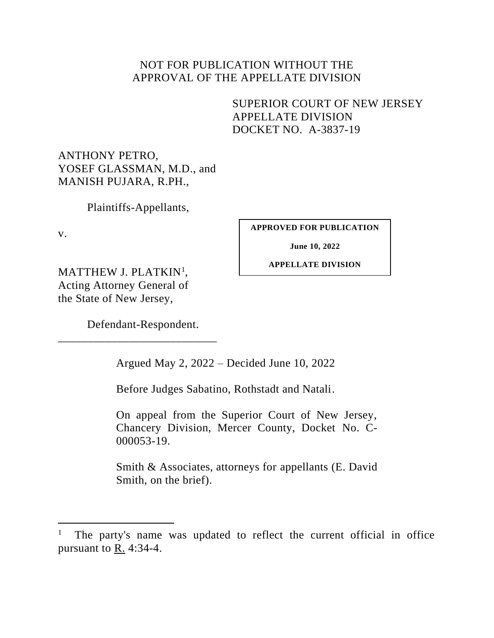# NOT FOR PUBLICATION WITHOUT THE APPROVAL OF THE APPELLATE DIVISION

# SUPERIOR COURT OF NEW JERSEY APPELLATE DIVISION DOCKET NO. A-3837-19

ANTHONY PETRO, YOSEF GLASSMAN, M.D., and MANISH PUJARA, R.PH.,

Plaintiffs-Appellants,

v.

**APPROVED FOR PUBLICATION**

**June 10, 2022**

**APPELLATE DIVISION**

MATTHEW J. PLATKIN<sup>1</sup>, Acting Attorney General of the State of New Jersey,

Defendant-Respondent.

\_\_\_\_\_\_\_\_\_\_\_\_\_\_\_\_\_\_\_\_\_\_\_\_\_\_\_

Argued May 2, 2022 – Decided June 10, 2022

Before Judges Sabatino, Rothstadt and Natali.

On appeal from the Superior Court of New Jersey, Chancery Division, Mercer County, Docket No. C-000053-19.

Smith & Associates, attorneys for appellants (E. David Smith, on the brief).

<sup>1</sup> The party's name was updated to reflect the current official in office pursuant to R. 4:34-4.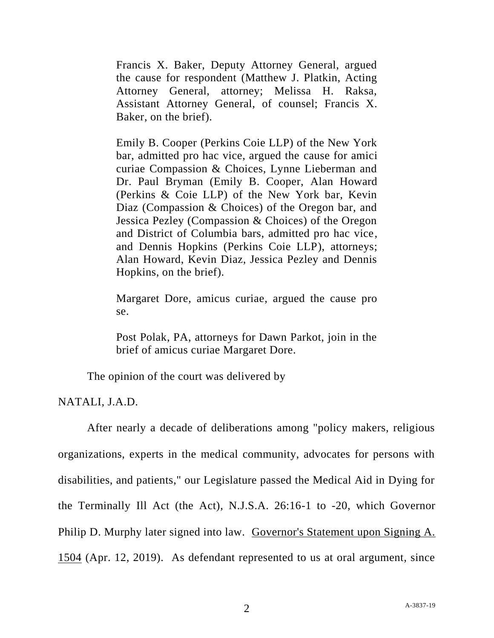Francis X. Baker, Deputy Attorney General, argued the cause for respondent (Matthew J. Platkin, Acting Attorney General, attorney; Melissa H. Raksa, Assistant Attorney General, of counsel; Francis X. Baker, on the brief).

Emily B. Cooper (Perkins Coie LLP) of the New York bar, admitted pro hac vice, argued the cause for amici curiae Compassion & Choices, Lynne Lieberman and Dr. Paul Bryman (Emily B. Cooper, Alan Howard (Perkins & Coie LLP) of the New York bar, Kevin Diaz (Compassion & Choices) of the Oregon bar, and Jessica Pezley (Compassion & Choices) of the Oregon and District of Columbia bars, admitted pro hac vice, and Dennis Hopkins (Perkins Coie LLP), attorneys; Alan Howard, Kevin Diaz, Jessica Pezley and Dennis Hopkins, on the brief).

Margaret Dore, amicus curiae, argued the cause pro se.

Post Polak, PA, attorneys for Dawn Parkot, join in the brief of amicus curiae Margaret Dore.

The opinion of the court was delivered by

NATALI, J.A.D.

After nearly a decade of deliberations among "policy makers, religious organizations, experts in the medical community, advocates for persons with disabilities, and patients," our Legislature passed the Medical Aid in Dying for the Terminally Ill Act (the Act), N.J.S.A. 26:16-1 to -20, which Governor Philip D. Murphy later signed into law. Governor's Statement upon Signing A. 1504 (Apr. 12, 2019). As defendant represented to us at oral argument, since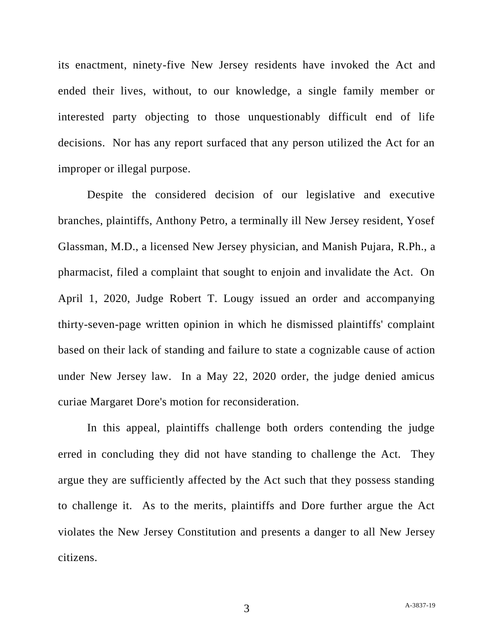its enactment, ninety-five New Jersey residents have invoked the Act and ended their lives, without, to our knowledge, a single family member or interested party objecting to those unquestionably difficult end of life decisions. Nor has any report surfaced that any person utilized the Act for an improper or illegal purpose.

Despite the considered decision of our legislative and executive branches, plaintiffs, Anthony Petro, a terminally ill New Jersey resident, Yosef Glassman, M.D., a licensed New Jersey physician, and Manish Pujara, R.Ph., a pharmacist, filed a complaint that sought to enjoin and invalidate the Act. On April 1, 2020, Judge Robert T. Lougy issued an order and accompanying thirty-seven-page written opinion in which he dismissed plaintiffs' complaint based on their lack of standing and failure to state a cognizable cause of action under New Jersey law. In a May 22, 2020 order, the judge denied amicus curiae Margaret Dore's motion for reconsideration.

In this appeal, plaintiffs challenge both orders contending the judge erred in concluding they did not have standing to challenge the Act. They argue they are sufficiently affected by the Act such that they possess standing to challenge it. As to the merits, plaintiffs and Dore further argue the Act violates the New Jersey Constitution and presents a danger to all New Jersey citizens.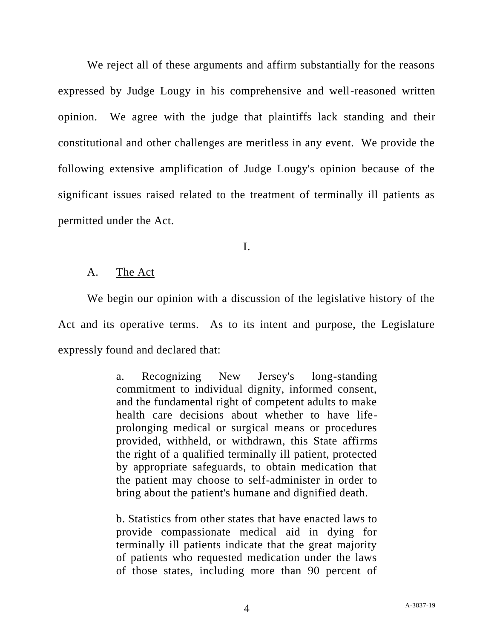We reject all of these arguments and affirm substantially for the reasons expressed by Judge Lougy in his comprehensive and well-reasoned written opinion. We agree with the judge that plaintiffs lack standing and their constitutional and other challenges are meritless in any event. We provide the following extensive amplification of Judge Lougy's opinion because of the significant issues raised related to the treatment of terminally ill patients as permitted under the Act.

I.

# A. The Act

We begin our opinion with a discussion of the legislative history of the Act and its operative terms. As to its intent and purpose, the Legislature expressly found and declared that:

> a. Recognizing New Jersey's long-standing commitment to individual dignity, informed consent, and the fundamental right of competent adults to make health care decisions about whether to have lifeprolonging medical or surgical means or procedures provided, withheld, or withdrawn, this State affirms the right of a qualified terminally ill patient, protected by appropriate safeguards, to obtain medication that the patient may choose to self-administer in order to bring about the patient's humane and dignified death.

> b. Statistics from other states that have enacted laws to provide compassionate medical aid in dying for terminally ill patients indicate that the great majority of patients who requested medication under the laws of those states, including more than 90 percent of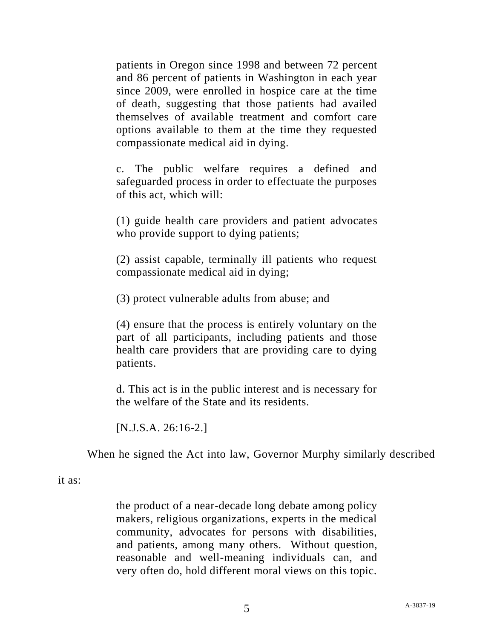patients in Oregon since 1998 and between 72 percent and 86 percent of patients in Washington in each year since 2009, were enrolled in hospice care at the time of death, suggesting that those patients had availed themselves of available treatment and comfort care options available to them at the time they requested compassionate medical aid in dying.

c. The public welfare requires a defined and safeguarded process in order to effectuate the purposes of this act, which will:

(1) guide health care providers and patient advocates who provide support to dying patients;

(2) assist capable, terminally ill patients who request compassionate medical aid in dying;

(3) protect vulnerable adults from abuse; and

(4) ensure that the process is entirely voluntary on the part of all participants, including patients and those health care providers that are providing care to dying patients.

d. This act is in the public interest and is necessary for the welfare of the State and its residents.

[N.J.S.A. 26:16-2.]

When he signed the Act into law, Governor Murphy similarly described

it as:

the product of a near-decade long debate among policy makers, religious organizations, experts in the medical community, advocates for persons with disabilities, and patients, among many others. Without question, reasonable and well-meaning individuals can, and very often do, hold different moral views on this topic.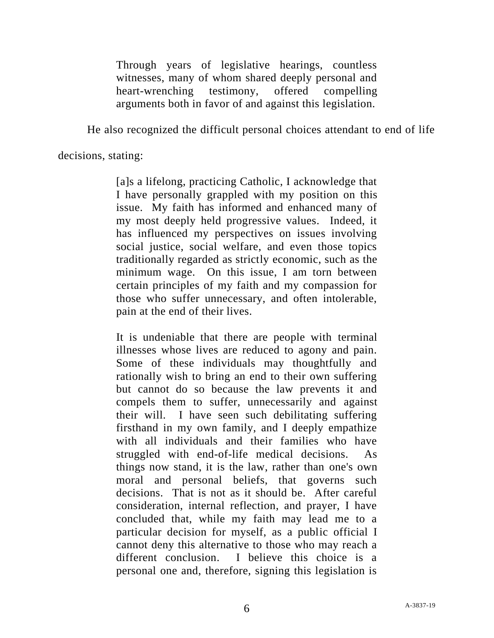Through years of legislative hearings, countless witnesses, many of whom shared deeply personal and heart-wrenching testimony, offered compelling arguments both in favor of and against this legislation.

He also recognized the difficult personal choices attendant to end of life

decisions, stating:

[a]s a lifelong, practicing Catholic, I acknowledge that I have personally grappled with my position on this issue. My faith has informed and enhanced many of my most deeply held progressive values. Indeed, it has influenced my perspectives on issues involving social justice, social welfare, and even those topics traditionally regarded as strictly economic, such as the minimum wage. On this issue, I am torn between certain principles of my faith and my compassion for those who suffer unnecessary, and often intolerable, pain at the end of their lives.

It is undeniable that there are people with terminal illnesses whose lives are reduced to agony and pain. Some of these individuals may thoughtfully and rationally wish to bring an end to their own suffering but cannot do so because the law prevents it and compels them to suffer, unnecessarily and against their will. I have seen such debilitating suffering firsthand in my own family, and I deeply empathize with all individuals and their families who have struggled with end-of-life medical decisions. As things now stand, it is the law, rather than one's own moral and personal beliefs, that governs such decisions. That is not as it should be. After careful consideration, internal reflection, and prayer, I have concluded that, while my faith may lead me to a particular decision for myself, as a public official I cannot deny this alternative to those who may reach a different conclusion. I believe this choice is a personal one and, therefore, signing this legislation is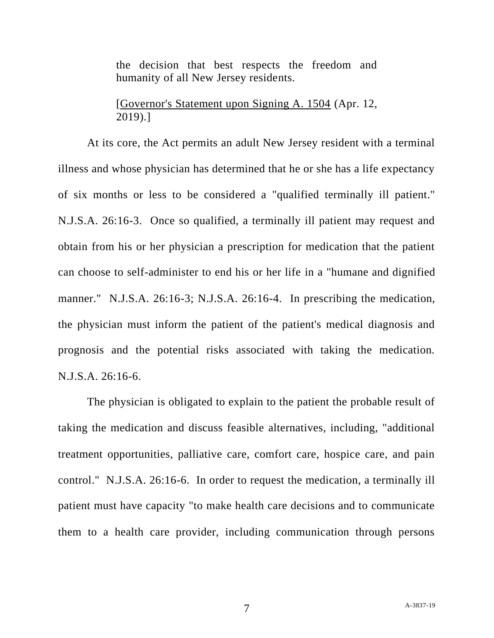the decision that best respects the freedom and humanity of all New Jersey residents.

[Governor's Statement upon Signing A. 1504 (Apr. 12, 2019).]

At its core, the Act permits an adult New Jersey resident with a terminal illness and whose physician has determined that he or she has a life expectancy of six months or less to be considered a "qualified terminally ill patient." N.J.S.A. 26:16-3. Once so qualified, a terminally ill patient may request and obtain from his or her physician a prescription for medication that the patient can choose to self-administer to end his or her life in a "humane and dignified manner." N.J.S.A. 26:16-3; N.J.S.A. 26:16-4. In prescribing the medication, the physician must inform the patient of the patient's medical diagnosis and prognosis and the potential risks associated with taking the medication. N.J.S.A. 26:16-6.

The physician is obligated to explain to the patient the probable result of taking the medication and discuss feasible alternatives, including, "additional treatment opportunities, palliative care, comfort care, hospice care, and pain control." N.J.S.A. 26:16-6. In order to request the medication, a terminally ill patient must have capacity "to make health care decisions and to communicate them to a health care provider, including communication through persons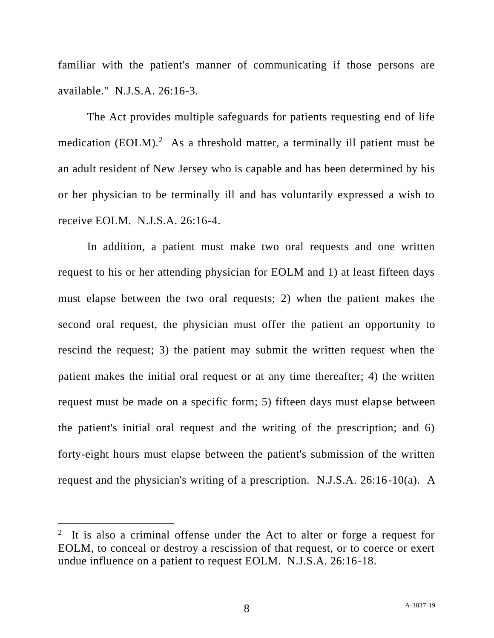familiar with the patient's manner of communicating if those persons are available." N.J.S.A. 26:16-3.

The Act provides multiple safeguards for patients requesting end of life medication (EOLM).<sup>2</sup> As a threshold matter, a terminally ill patient must be an adult resident of New Jersey who is capable and has been determined by his or her physician to be terminally ill and has voluntarily expressed a wish to receive EOLM. N.J.S.A. 26:16-4.

In addition, a patient must make two oral requests and one written request to his or her attending physician for EOLM and 1) at least fifteen days must elapse between the two oral requests; 2) when the patient makes the second oral request, the physician must offer the patient an opportunity to rescind the request; 3) the patient may submit the written request when the patient makes the initial oral request or at any time thereafter; 4) the written request must be made on a specific form; 5) fifteen days must elapse between the patient's initial oral request and the writing of the prescription; and 6) forty-eight hours must elapse between the patient's submission of the written request and the physician's writing of a prescription. N.J.S.A. 26:16-10(a). A

<sup>2</sup> It is also a criminal offense under the Act to alter or forge a request for EOLM, to conceal or destroy a rescission of that request, or to coerce or exert undue influence on a patient to request EOLM. N.J.S.A. 26:16-18.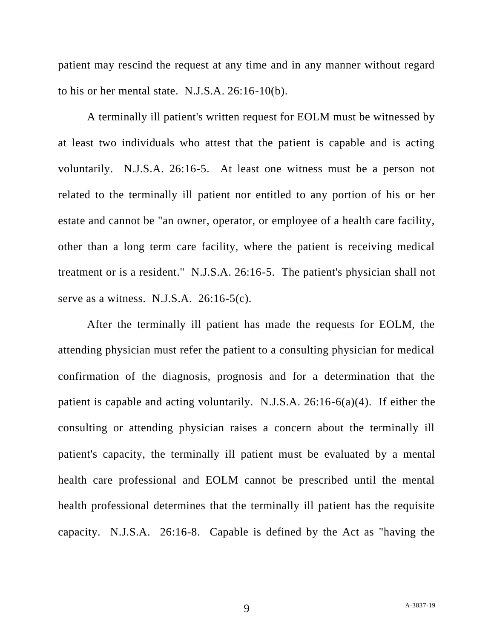patient may rescind the request at any time and in any manner without regard to his or her mental state. N.J.S.A. 26:16-10(b).

A terminally ill patient's written request for EOLM must be witnessed by at least two individuals who attest that the patient is capable and is acting voluntarily. N.J.S.A. 26:16-5. At least one witness must be a person not related to the terminally ill patient nor entitled to any portion of his or her estate and cannot be "an owner, operator, or employee of a health care facility, other than a long term care facility, where the patient is receiving medical treatment or is a resident." N.J.S.A. 26:16-5. The patient's physician shall not serve as a witness. N.J.S.A. 26:16-5(c).

After the terminally ill patient has made the requests for EOLM, the attending physician must refer the patient to a consulting physician for medical confirmation of the diagnosis, prognosis and for a determination that the patient is capable and acting voluntarily. N.J.S.A. 26:16-6(a)(4). If either the consulting or attending physician raises a concern about the terminally ill patient's capacity, the terminally ill patient must be evaluated by a mental health care professional and EOLM cannot be prescribed until the mental health professional determines that the terminally ill patient has the requisite capacity. N.J.S.A. 26:16-8. Capable is defined by the Act as "having the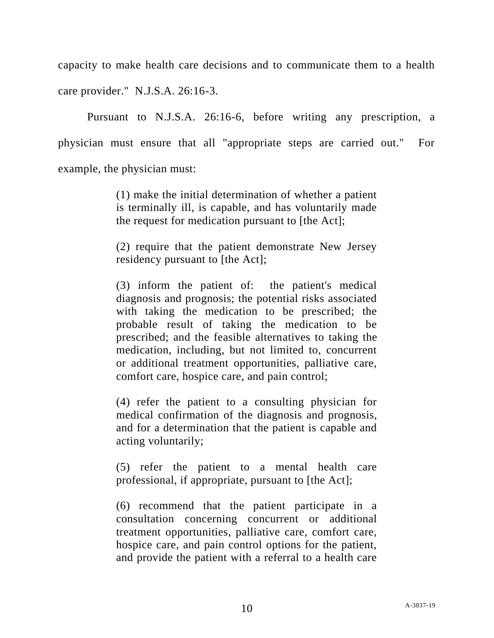capacity to make health care decisions and to communicate them to a health care provider." N.J.S.A. 26:16-3.

Pursuant to N.J.S.A. 26:16-6, before writing any prescription, a physician must ensure that all "appropriate steps are carried out." For example, the physician must:

> (1) make the initial determination of whether a patient is terminally ill, is capable, and has voluntarily made the request for medication pursuant to [the Act];

> (2) require that the patient demonstrate New Jersey residency pursuant to [the Act];

> (3) inform the patient of: the patient's medical diagnosis and prognosis; the potential risks associated with taking the medication to be prescribed; the probable result of taking the medication to be prescribed; and the feasible alternatives to taking the medication, including, but not limited to, concurrent or additional treatment opportunities, palliative care, comfort care, hospice care, and pain control;

> (4) refer the patient to a consulting physician for medical confirmation of the diagnosis and prognosis, and for a determination that the patient is capable and acting voluntarily;

> (5) refer the patient to a mental health care professional, if appropriate, pursuant to [the Act];

> (6) recommend that the patient participate in a consultation concerning concurrent or additional treatment opportunities, palliative care, comfort care, hospice care, and pain control options for the patient, and provide the patient with a referral to a health care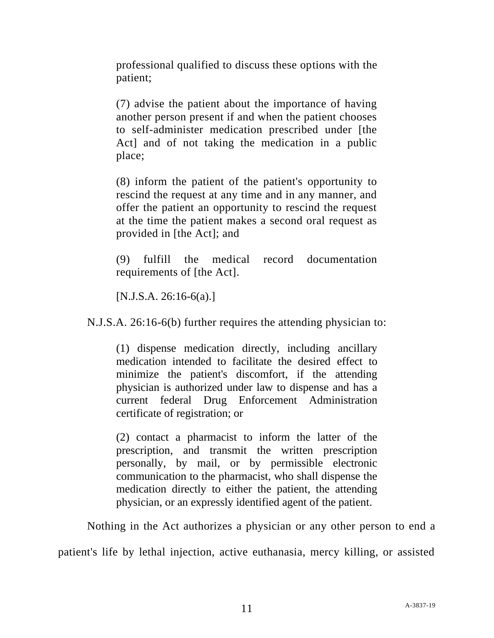professional qualified to discuss these options with the patient;

(7) advise the patient about the importance of having another person present if and when the patient chooses to self-administer medication prescribed under [the Act] and of not taking the medication in a public place;

(8) inform the patient of the patient's opportunity to rescind the request at any time and in any manner, and offer the patient an opportunity to rescind the request at the time the patient makes a second oral request as provided in [the Act]; and

(9) fulfill the medical record documentation requirements of [the Act].

[N.J.S.A. 26:16-6(a).]

N.J.S.A. 26:16-6(b) further requires the attending physician to:

(1) dispense medication directly, including ancillary medication intended to facilitate the desired effect to minimize the patient's discomfort, if the attending physician is authorized under law to dispense and has a current federal Drug Enforcement Administration certificate of registration; or

(2) contact a pharmacist to inform the latter of the prescription, and transmit the written prescription personally, by mail, or by permissible electronic communication to the pharmacist, who shall dispense the medication directly to either the patient, the attending physician, or an expressly identified agent of the patient.

Nothing in the Act authorizes a physician or any other person to end a

patient's life by lethal injection, active euthanasia, mercy killing, or assisted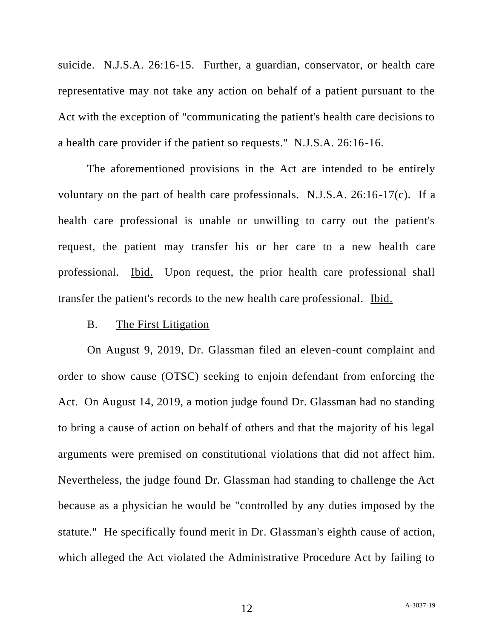suicide. N.J.S.A. 26:16-15. Further, a guardian, conservator, or health care representative may not take any action on behalf of a patient pursuant to the Act with the exception of "communicating the patient's health care decisions to a health care provider if the patient so requests." N.J.S.A. 26:16-16.

The aforementioned provisions in the Act are intended to be entirely voluntary on the part of health care professionals. N.J.S.A. 26:16-17(c). If a health care professional is unable or unwilling to carry out the patient's request, the patient may transfer his or her care to a new health care professional. Ibid. Upon request, the prior health care professional shall transfer the patient's records to the new health care professional. Ibid.

#### B. The First Litigation

On August 9, 2019, Dr. Glassman filed an eleven-count complaint and order to show cause (OTSC) seeking to enjoin defendant from enforcing the Act. On August 14, 2019, a motion judge found Dr. Glassman had no standing to bring a cause of action on behalf of others and that the majority of his legal arguments were premised on constitutional violations that did not affect him. Nevertheless, the judge found Dr. Glassman had standing to challenge the Act because as a physician he would be "controlled by any duties imposed by the statute." He specifically found merit in Dr. Glassman's eighth cause of action, which alleged the Act violated the Administrative Procedure Act by failing to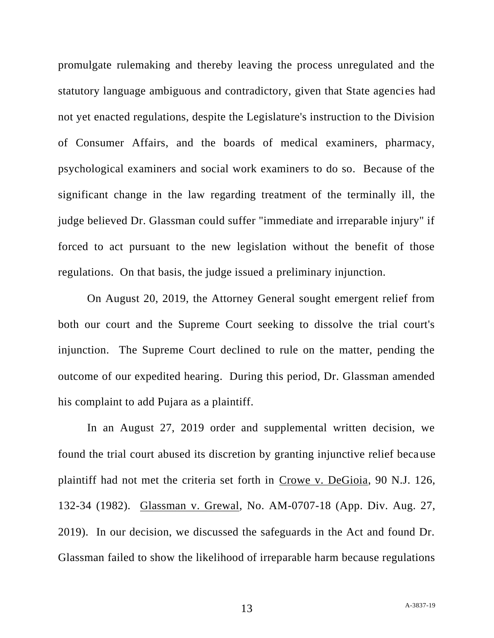promulgate rulemaking and thereby leaving the process unregulated and the statutory language ambiguous and contradictory, given that State agencies had not yet enacted regulations, despite the Legislature's instruction to the Division of Consumer Affairs, and the boards of medical examiners, pharmacy, psychological examiners and social work examiners to do so. Because of the significant change in the law regarding treatment of the terminally ill, the judge believed Dr. Glassman could suffer "immediate and irreparable injury" if forced to act pursuant to the new legislation without the benefit of those regulations. On that basis, the judge issued a preliminary injunction.

On August 20, 2019, the Attorney General sought emergent relief from both our court and the Supreme Court seeking to dissolve the trial court's injunction. The Supreme Court declined to rule on the matter, pending the outcome of our expedited hearing. During this period, Dr. Glassman amended his complaint to add Pujara as a plaintiff.

In an August 27, 2019 order and supplemental written decision, we found the trial court abused its discretion by granting injunctive relief because plaintiff had not met the criteria set forth in Crowe v. DeGioia, 90 N.J. 126, 132-34 (1982). Glassman v. Grewal, No. AM-0707-18 (App. Div. Aug. 27, 2019). In our decision, we discussed the safeguards in the Act and found Dr. Glassman failed to show the likelihood of irreparable harm because regulations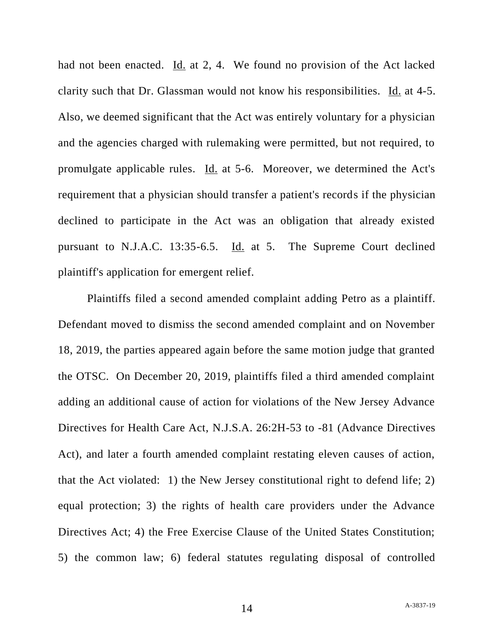had not been enacted. Id. at 2, 4. We found no provision of the Act lacked clarity such that Dr. Glassman would not know his responsibilities. Id. at 4-5. Also, we deemed significant that the Act was entirely voluntary for a physician and the agencies charged with rulemaking were permitted, but not required, to promulgate applicable rules. Id. at 5-6. Moreover, we determined the Act's requirement that a physician should transfer a patient's records if the physician declined to participate in the Act was an obligation that already existed pursuant to N.J.A.C. 13:35-6.5. Id. at 5. The Supreme Court declined plaintiff's application for emergent relief.

Plaintiffs filed a second amended complaint adding Petro as a plaintiff. Defendant moved to dismiss the second amended complaint and on November 18, 2019, the parties appeared again before the same motion judge that granted the OTSC. On December 20, 2019, plaintiffs filed a third amended complaint adding an additional cause of action for violations of the New Jersey Advance Directives for Health Care Act, N.J.S.A. 26:2H-53 to -81 (Advance Directives Act), and later a fourth amended complaint restating eleven causes of action, that the Act violated: 1) the New Jersey constitutional right to defend life; 2) equal protection; 3) the rights of health care providers under the Advance Directives Act; 4) the Free Exercise Clause of the United States Constitution; 5) the common law; 6) federal statutes regulating disposal of controlled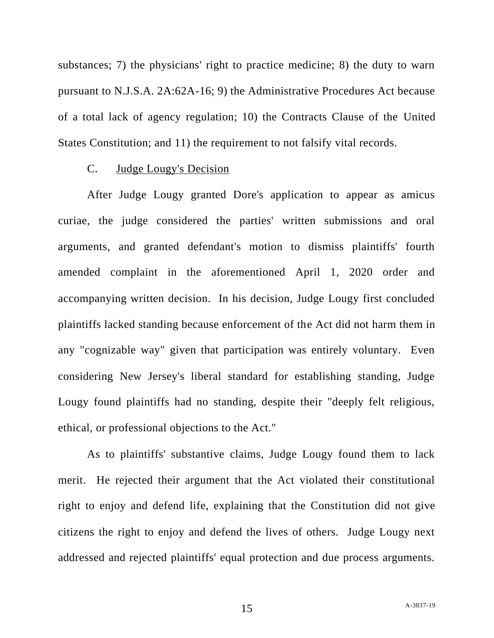substances; 7) the physicians' right to practice medicine; 8) the duty to warn pursuant to N.J.S.A. 2A:62A-16; 9) the Administrative Procedures Act because of a total lack of agency regulation; 10) the Contracts Clause of the United States Constitution; and 11) the requirement to not falsify vital records.

# C. Judge Lougy's Decision

After Judge Lougy granted Dore's application to appear as amicus curiae, the judge considered the parties' written submissions and oral arguments, and granted defendant's motion to dismiss plaintiffs' fourth amended complaint in the aforementioned April 1, 2020 order and accompanying written decision. In his decision, Judge Lougy first concluded plaintiffs lacked standing because enforcement of the Act did not harm them in any "cognizable way" given that participation was entirely voluntary. Even considering New Jersey's liberal standard for establishing standing, Judge Lougy found plaintiffs had no standing, despite their "deeply felt religious, ethical, or professional objections to the Act."

As to plaintiffs' substantive claims, Judge Lougy found them to lack merit. He rejected their argument that the Act violated their constitutional right to enjoy and defend life, explaining that the Constitution did not give citizens the right to enjoy and defend the lives of others. Judge Lougy next addressed and rejected plaintiffs' equal protection and due process arguments.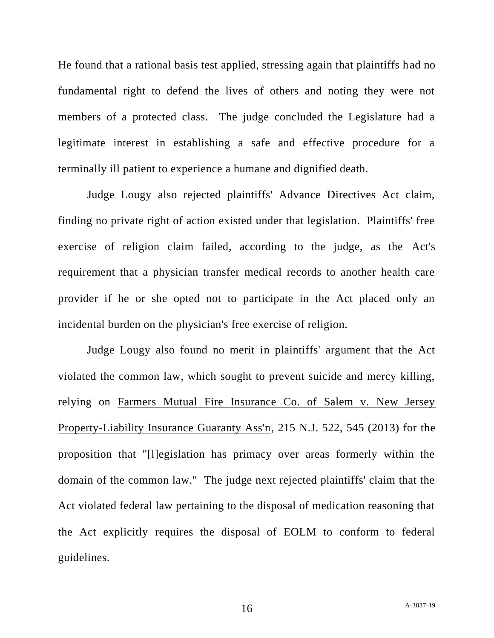He found that a rational basis test applied, stressing again that plaintiffs had no fundamental right to defend the lives of others and noting they were not members of a protected class. The judge concluded the Legislature had a legitimate interest in establishing a safe and effective procedure for a terminally ill patient to experience a humane and dignified death.

Judge Lougy also rejected plaintiffs' Advance Directives Act claim, finding no private right of action existed under that legislation. Plaintiffs' free exercise of religion claim failed, according to the judge, as the Act's requirement that a physician transfer medical records to another health care provider if he or she opted not to participate in the Act placed only an incidental burden on the physician's free exercise of religion.

Judge Lougy also found no merit in plaintiffs' argument that the Act violated the common law, which sought to prevent suicide and mercy killing, relying on Farmers Mutual Fire Insurance Co. of Salem v. New Jersey Property-Liability Insurance Guaranty Ass'n, 215 N.J. 522, 545 (2013) for the proposition that "[l]egislation has primacy over areas formerly within the domain of the common law." The judge next rejected plaintiffs' claim that the Act violated federal law pertaining to the disposal of medication reasoning that the Act explicitly requires the disposal of EOLM to conform to federal guidelines.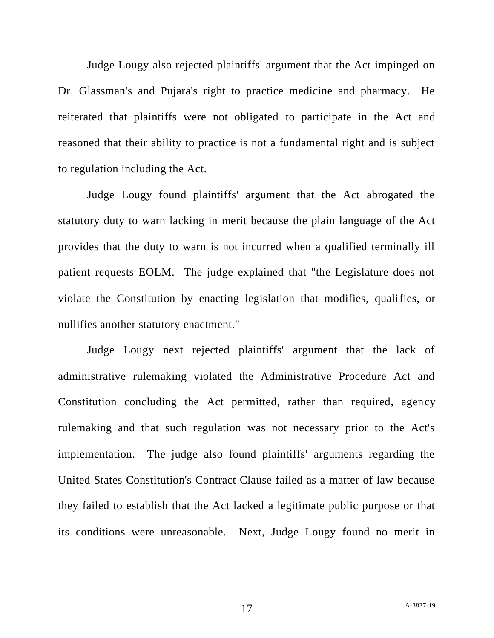Judge Lougy also rejected plaintiffs' argument that the Act impinged on Dr. Glassman's and Pujara's right to practice medicine and pharmacy. He reiterated that plaintiffs were not obligated to participate in the Act and reasoned that their ability to practice is not a fundamental right and is subject to regulation including the Act.

Judge Lougy found plaintiffs' argument that the Act abrogated the statutory duty to warn lacking in merit because the plain language of the Act provides that the duty to warn is not incurred when a qualified terminally ill patient requests EOLM. The judge explained that "the Legislature does not violate the Constitution by enacting legislation that modifies, qualifies, or nullifies another statutory enactment."

Judge Lougy next rejected plaintiffs' argument that the lack of administrative rulemaking violated the Administrative Procedure Act and Constitution concluding the Act permitted, rather than required, agency rulemaking and that such regulation was not necessary prior to the Act's implementation. The judge also found plaintiffs' arguments regarding the United States Constitution's Contract Clause failed as a matter of law because they failed to establish that the Act lacked a legitimate public purpose or that its conditions were unreasonable. Next, Judge Lougy found no merit in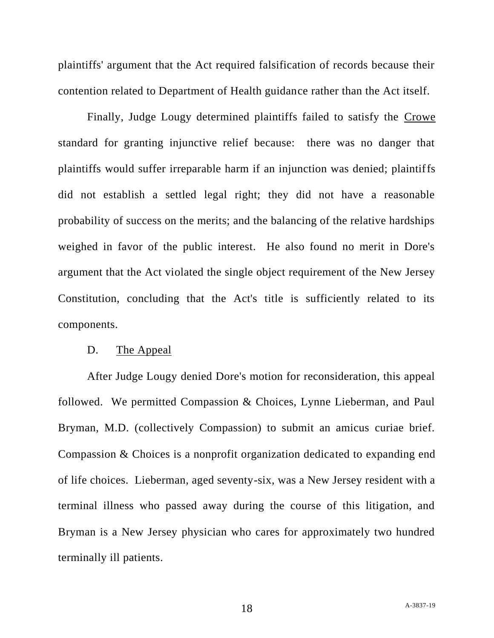plaintiffs' argument that the Act required falsification of records because their contention related to Department of Health guidance rather than the Act itself.

Finally, Judge Lougy determined plaintiffs failed to satisfy the Crowe standard for granting injunctive relief because: there was no danger that plaintiffs would suffer irreparable harm if an injunction was denied; plaintiffs did not establish a settled legal right; they did not have a reasonable probability of success on the merits; and the balancing of the relative hardships weighed in favor of the public interest. He also found no merit in Dore's argument that the Act violated the single object requirement of the New Jersey Constitution, concluding that the Act's title is sufficiently related to its components.

#### D. The Appeal

After Judge Lougy denied Dore's motion for reconsideration, this appeal followed. We permitted Compassion & Choices, Lynne Lieberman, and Paul Bryman, M.D. (collectively Compassion) to submit an amicus curiae brief. Compassion & Choices is a nonprofit organization dedicated to expanding end of life choices. Lieberman, aged seventy-six, was a New Jersey resident with a terminal illness who passed away during the course of this litigation, and Bryman is a New Jersey physician who cares for approximately two hundred terminally ill patients.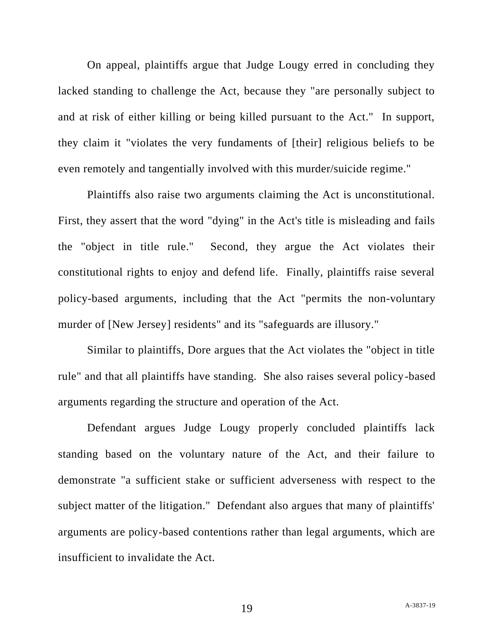On appeal, plaintiffs argue that Judge Lougy erred in concluding they lacked standing to challenge the Act, because they "are personally subject to and at risk of either killing or being killed pursuant to the Act." In support, they claim it "violates the very fundaments of [their] religious beliefs to be even remotely and tangentially involved with this murder/suicide regime."

Plaintiffs also raise two arguments claiming the Act is unconstitutional. First, they assert that the word "dying" in the Act's title is misleading and fails the "object in title rule." Second, they argue the Act violates their constitutional rights to enjoy and defend life. Finally, plaintiffs raise several policy-based arguments, including that the Act "permits the non-voluntary murder of [New Jersey] residents" and its "safeguards are illusory."

Similar to plaintiffs, Dore argues that the Act violates the "object in title rule" and that all plaintiffs have standing. She also raises several policy-based arguments regarding the structure and operation of the Act.

Defendant argues Judge Lougy properly concluded plaintiffs lack standing based on the voluntary nature of the Act, and their failure to demonstrate "a sufficient stake or sufficient adverseness with respect to the subject matter of the litigation." Defendant also argues that many of plaintiffs' arguments are policy-based contentions rather than legal arguments, which are insufficient to invalidate the Act.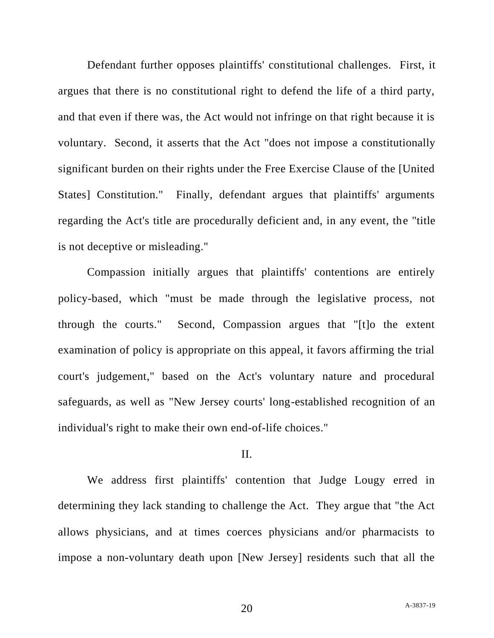Defendant further opposes plaintiffs' constitutional challenges. First, it argues that there is no constitutional right to defend the life of a third party, and that even if there was, the Act would not infringe on that right because it is voluntary. Second, it asserts that the Act "does not impose a constitutionally significant burden on their rights under the Free Exercise Clause of the [United States] Constitution." Finally, defendant argues that plaintiffs' arguments regarding the Act's title are procedurally deficient and, in any event, the "title is not deceptive or misleading."

Compassion initially argues that plaintiffs' contentions are entirely policy-based, which "must be made through the legislative process, not through the courts." Second, Compassion argues that "[t]o the extent examination of policy is appropriate on this appeal, it favors affirming the trial court's judgement," based on the Act's voluntary nature and procedural safeguards, as well as "New Jersey courts' long-established recognition of an individual's right to make their own end-of-life choices."

#### II.

We address first plaintiffs' contention that Judge Lougy erred in determining they lack standing to challenge the Act. They argue that "the Act allows physicians, and at times coerces physicians and/or pharmacists to impose a non-voluntary death upon [New Jersey] residents such that all the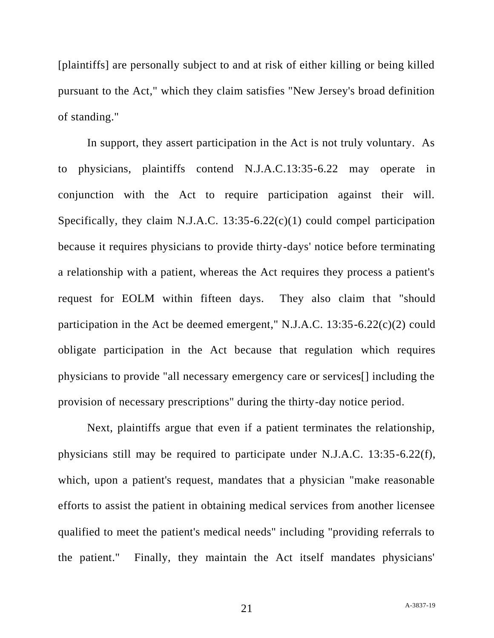[plaintiffs] are personally subject to and at risk of either killing or being killed pursuant to the Act," which they claim satisfies "New Jersey's broad definition of standing."

In support, they assert participation in the Act is not truly voluntary. As to physicians, plaintiffs contend N.J.A.C.13:35-6.22 may operate in conjunction with the Act to require participation against their will. Specifically, they claim N.J.A.C. 13:35-6.22(c)(1) could compel participation because it requires physicians to provide thirty-days' notice before terminating a relationship with a patient, whereas the Act requires they process a patient's request for EOLM within fifteen days. They also claim that "should participation in the Act be deemed emergent," N.J.A.C. 13:35-6.22(c)(2) could obligate participation in the Act because that regulation which requires physicians to provide "all necessary emergency care or services[] including the provision of necessary prescriptions" during the thirty-day notice period.

Next, plaintiffs argue that even if a patient terminates the relationship, physicians still may be required to participate under N.J.A.C. 13:35-6.22(f), which, upon a patient's request, mandates that a physician "make reasonable efforts to assist the patient in obtaining medical services from another licensee qualified to meet the patient's medical needs" including "providing referrals to the patient." Finally, they maintain the Act itself mandates physicians'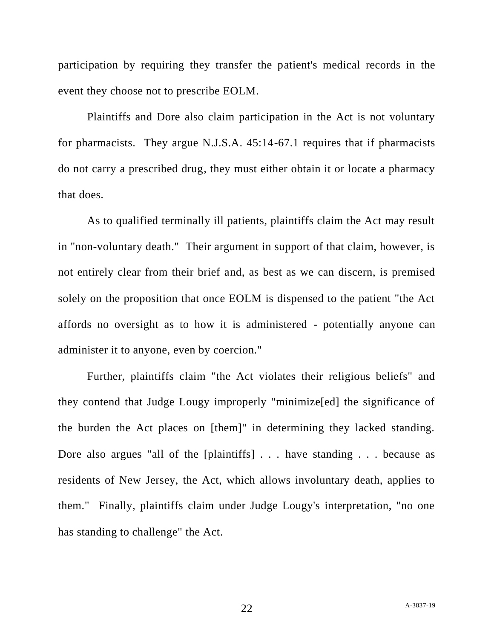participation by requiring they transfer the patient's medical records in the event they choose not to prescribe EOLM.

Plaintiffs and Dore also claim participation in the Act is not voluntary for pharmacists. They argue N.J.S.A. 45:14-67.1 requires that if pharmacists do not carry a prescribed drug, they must either obtain it or locate a pharmacy that does.

As to qualified terminally ill patients, plaintiffs claim the Act may result in "non-voluntary death." Their argument in support of that claim, however, is not entirely clear from their brief and, as best as we can discern, is premised solely on the proposition that once EOLM is dispensed to the patient "the Act affords no oversight as to how it is administered - potentially anyone can administer it to anyone, even by coercion."

Further, plaintiffs claim "the Act violates their religious beliefs" and they contend that Judge Lougy improperly "minimize[ed] the significance of the burden the Act places on [them]" in determining they lacked standing. Dore also argues "all of the [plaintiffs] . . . have standing . . . because as residents of New Jersey, the Act, which allows involuntary death, applies to them." Finally, plaintiffs claim under Judge Lougy's interpretation, "no one has standing to challenge" the Act.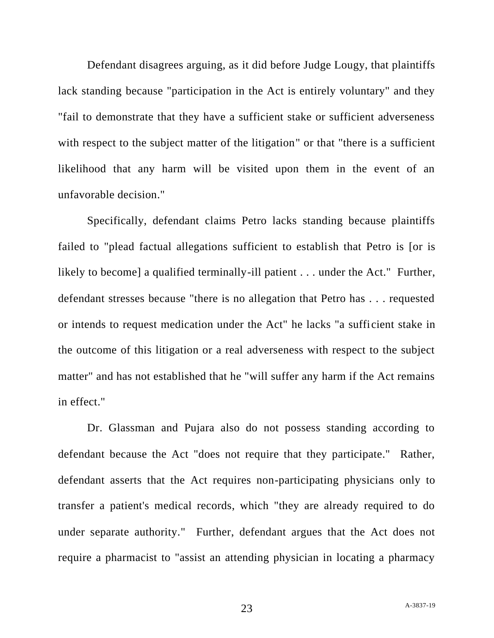Defendant disagrees arguing, as it did before Judge Lougy, that plaintiffs lack standing because "participation in the Act is entirely voluntary" and they "fail to demonstrate that they have a sufficient stake or sufficient adverseness with respect to the subject matter of the litigation" or that "there is a sufficient likelihood that any harm will be visited upon them in the event of an unfavorable decision."

Specifically, defendant claims Petro lacks standing because plaintiffs failed to "plead factual allegations sufficient to establish that Petro is [or is likely to become] a qualified terminally-ill patient . . . under the Act." Further, defendant stresses because "there is no allegation that Petro has . . . requested or intends to request medication under the Act" he lacks "a sufficient stake in the outcome of this litigation or a real adverseness with respect to the subject matter" and has not established that he "will suffer any harm if the Act remains in effect."

Dr. Glassman and Pujara also do not possess standing according to defendant because the Act "does not require that they participate." Rather, defendant asserts that the Act requires non-participating physicians only to transfer a patient's medical records, which "they are already required to do under separate authority." Further, defendant argues that the Act does not require a pharmacist to "assist an attending physician in locating a pharmacy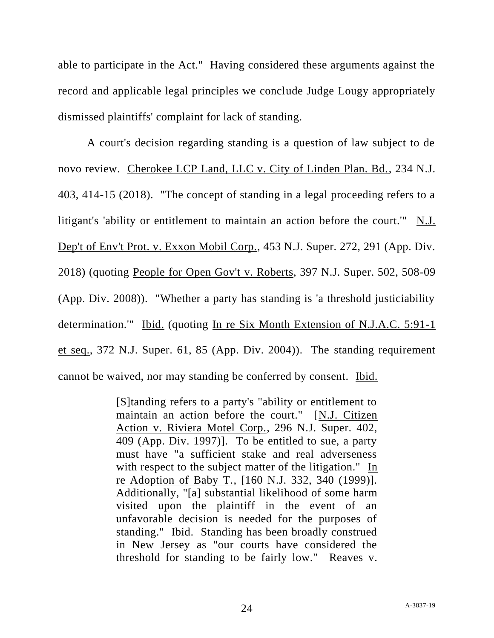able to participate in the Act." Having considered these arguments against the record and applicable legal principles we conclude Judge Lougy appropriately dismissed plaintiffs' complaint for lack of standing.

A court's decision regarding standing is a question of law subject to de novo review. Cherokee LCP Land, LLC v. City of Linden Plan. Bd., 234 N.J. 403, 414-15 (2018). "The concept of standing in a legal proceeding refers to a litigant's 'ability or entitlement to maintain an action before the court.'" N.J. Dep't of Env't Prot. v. Exxon Mobil Corp., 453 N.J. Super. 272, 291 (App. Div. 2018) (quoting People for Open Gov't v. Roberts, 397 N.J. Super. 502, 508-09 (App. Div. 2008)). "Whether a party has standing is 'a threshold justiciability determination.'" Ibid. (quoting In re Six Month Extension of N.J.A.C. 5:91-1 et seq., 372 N.J. Super. 61, 85 (App. Div. 2004)). The standing requirement cannot be waived, nor may standing be conferred by consent. Ibid.

> [S]tanding refers to a party's "ability or entitlement to maintain an action before the court." [N.J. Citizen Action v. Riviera Motel Corp., 296 N.J. Super. 402, 409 (App. Div. 1997)]. To be entitled to sue, a party must have "a sufficient stake and real adverseness with respect to the subject matter of the litigation." In re Adoption of Baby T., [160 N.J. 332, 340 (1999)]. Additionally, "[a] substantial likelihood of some harm visited upon the plaintiff in the event of an unfavorable decision is needed for the purposes of standing." Ibid. Standing has been broadly construed in New Jersey as "our courts have considered the threshold for standing to be fairly low." Reaves v.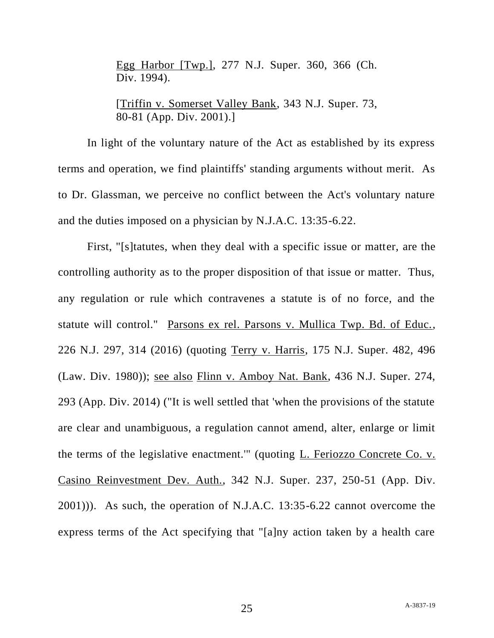Egg Harbor [Twp.], 277 N.J. Super. 360, 366 (Ch. Div. 1994).

[Triffin v. Somerset Valley Bank, 343 N.J. Super. 73, 80-81 (App. Div. 2001).]

In light of the voluntary nature of the Act as established by its express terms and operation, we find plaintiffs' standing arguments without merit. As to Dr. Glassman, we perceive no conflict between the Act's voluntary nature and the duties imposed on a physician by N.J.A.C. 13:35-6.22.

First, "[s]tatutes, when they deal with a specific issue or matter, are the controlling authority as to the proper disposition of that issue or matter. Thus, any regulation or rule which contravenes a statute is of no force, and the statute will control." Parsons ex rel. Parsons v. Mullica Twp. Bd. of Educ., 226 N.J. 297, 314 (2016) (quoting Terry v. Harris, 175 N.J. Super. 482, 496 (Law. Div. 1980)); see also Flinn v. Amboy Nat. Bank, 436 N.J. Super. 274, 293 (App. Div. 2014) ("It is well settled that 'when the provisions of the statute are clear and unambiguous, a regulation cannot amend, alter, enlarge or limit the terms of the legislative enactment.'" (quoting L. Feriozzo Concrete Co. v. Casino Reinvestment Dev. Auth., 342 N.J. Super. 237, 250-51 (App. Div. 2001))). As such, the operation of N.J.A.C. 13:35-6.22 cannot overcome the express terms of the Act specifying that "[a]ny action taken by a health care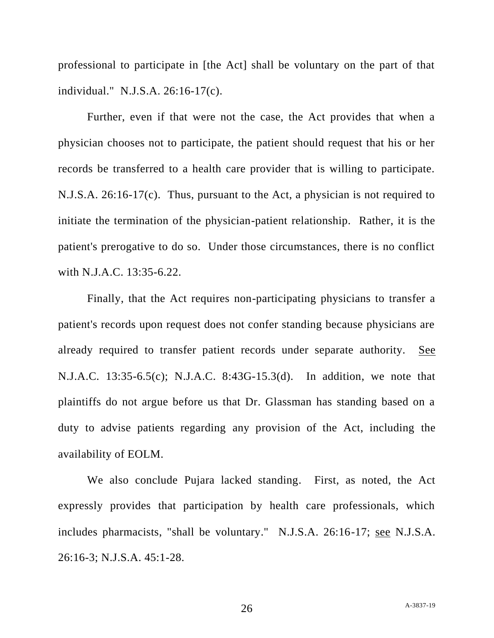professional to participate in [the Act] shall be voluntary on the part of that individual." N.J.S.A. 26:16-17(c).

Further, even if that were not the case, the Act provides that when a physician chooses not to participate, the patient should request that his or her records be transferred to a health care provider that is willing to participate. N.J.S.A. 26:16-17(c). Thus, pursuant to the Act, a physician is not required to initiate the termination of the physician-patient relationship. Rather, it is the patient's prerogative to do so. Under those circumstances, there is no conflict with N.J.A.C. 13:35-6.22.

Finally, that the Act requires non-participating physicians to transfer a patient's records upon request does not confer standing because physicians are already required to transfer patient records under separate authority. See N.J.A.C. 13:35-6.5(c); N.J.A.C. 8:43G-15.3(d). In addition, we note that plaintiffs do not argue before us that Dr. Glassman has standing based on a duty to advise patients regarding any provision of the Act, including the availability of EOLM.

We also conclude Pujara lacked standing. First, as noted, the Act expressly provides that participation by health care professionals, which includes pharmacists, "shall be voluntary." N.J.S.A. 26:16-17; see N.J.S.A. 26:16-3; N.J.S.A. 45:1-28.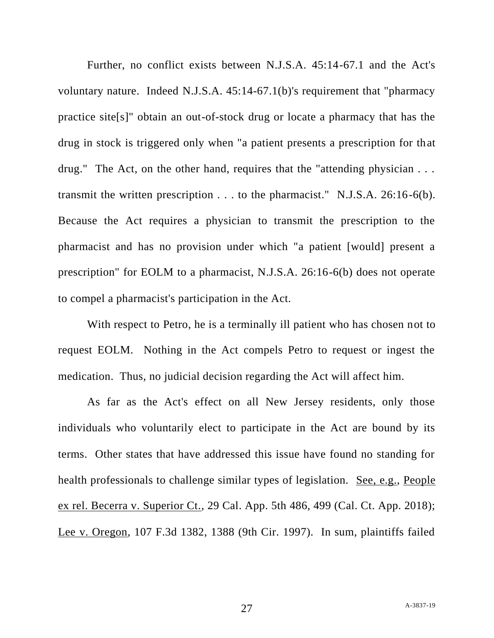Further, no conflict exists between N.J.S.A. 45:14-67.1 and the Act's voluntary nature. Indeed N.J.S.A. 45:14-67.1(b)'s requirement that "pharmacy practice site[s]" obtain an out-of-stock drug or locate a pharmacy that has the drug in stock is triggered only when "a patient presents a prescription for that drug." The Act, on the other hand, requires that the "attending physician . . . transmit the written prescription . . . to the pharmacist." N.J.S.A. 26:16-6(b). Because the Act requires a physician to transmit the prescription to the pharmacist and has no provision under which "a patient [would] present a prescription" for EOLM to a pharmacist, N.J.S.A. 26:16-6(b) does not operate to compel a pharmacist's participation in the Act.

With respect to Petro, he is a terminally ill patient who has chosen not to request EOLM. Nothing in the Act compels Petro to request or ingest the medication. Thus, no judicial decision regarding the Act will affect him.

As far as the Act's effect on all New Jersey residents, only those individuals who voluntarily elect to participate in the Act are bound by its terms. Other states that have addressed this issue have found no standing for health professionals to challenge similar types of legislation. See, e.g., People ex rel. Becerra v. Superior Ct., 29 Cal. App. 5th 486, 499 (Cal. Ct. App. 2018); Lee v. Oregon, 107 F.3d 1382, 1388 (9th Cir. 1997). In sum, plaintiffs failed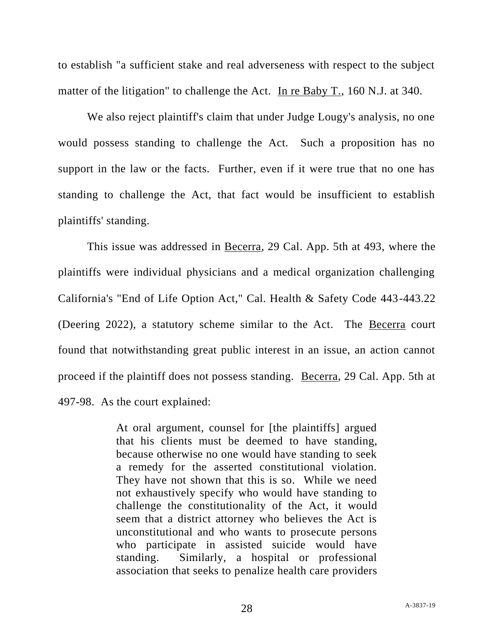to establish "a sufficient stake and real adverseness with respect to the subject matter of the litigation" to challenge the Act. In re Baby T., 160 N.J. at 340.

We also reject plaintiff's claim that under Judge Lougy's analysis, no one would possess standing to challenge the Act. Such a proposition has no support in the law or the facts. Further, even if it were true that no one has standing to challenge the Act, that fact would be insufficient to establish plaintiffs' standing.

This issue was addressed in Becerra, 29 Cal. App. 5th at 493, where the plaintiffs were individual physicians and a medical organization challenging California's "End of Life Option Act," Cal. Health & Safety Code 443-443.22 (Deering 2022), a statutory scheme similar to the Act. The Becerra court found that notwithstanding great public interest in an issue, an action cannot proceed if the plaintiff does not possess standing. Becerra, 29 Cal. App. 5th at 497-98. As the court explained:

> At oral argument, counsel for [the plaintiffs] argued that his clients must be deemed to have standing, because otherwise no one would have standing to seek a remedy for the asserted constitutional violation. They have not shown that this is so. While we need not exhaustively specify who would have standing to challenge the constitutionality of the Act, it would seem that a district attorney who believes the Act is unconstitutional and who wants to prosecute persons who participate in assisted suicide would have standing. Similarly, a hospital or professional association that seeks to penalize health care providers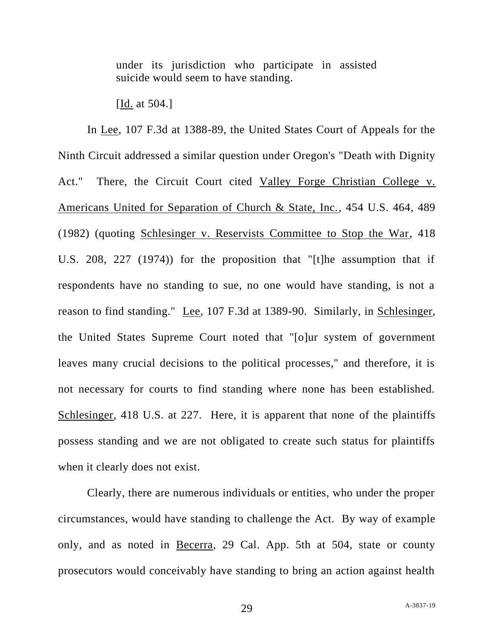under its jurisdiction who participate in assisted suicide would seem to have standing.

[Id. at 504.]

In Lee, 107 F.3d at 1388-89, the United States Court of Appeals for the Ninth Circuit addressed a similar question under Oregon's "Death with Dignity Act." There, the Circuit Court cited Valley Forge Christian College v. Americans United for Separation of Church & State, Inc., 454 U.S. 464, 489 (1982) (quoting Schlesinger v. Reservists Committee to Stop the War, 418 U.S. 208, 227 (1974)) for the proposition that "[t]he assumption that if respondents have no standing to sue, no one would have standing, is not a reason to find standing." Lee, 107 F.3d at 1389-90. Similarly, in Schlesinger, the United States Supreme Court noted that "[o]ur system of government leaves many crucial decisions to the political processes," and therefore, it is not necessary for courts to find standing where none has been established. Schlesinger, 418 U.S. at 227. Here, it is apparent that none of the plaintiffs possess standing and we are not obligated to create such status for plaintiffs when it clearly does not exist.

Clearly, there are numerous individuals or entities, who under the proper circumstances, would have standing to challenge the Act. By way of example only, and as noted in Becerra, 29 Cal. App. 5th at 504, state or county prosecutors would conceivably have standing to bring an action against health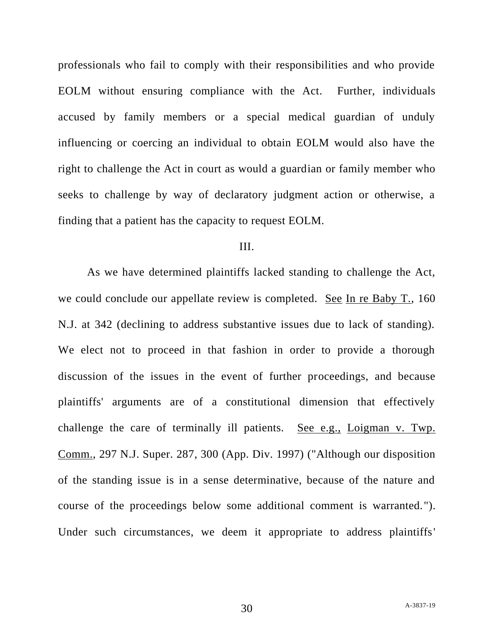professionals who fail to comply with their responsibilities and who provide EOLM without ensuring compliance with the Act. Further, individuals accused by family members or a special medical guardian of unduly influencing or coercing an individual to obtain EOLM would also have the right to challenge the Act in court as would a guardian or family member who seeks to challenge by way of declaratory judgment action or otherwise, a finding that a patient has the capacity to request EOLM.

#### III.

As we have determined plaintiffs lacked standing to challenge the Act, we could conclude our appellate review is completed. See In re Baby T., 160 N.J. at 342 (declining to address substantive issues due to lack of standing). We elect not to proceed in that fashion in order to provide a thorough discussion of the issues in the event of further proceedings, and because plaintiffs' arguments are of a constitutional dimension that effectively challenge the care of terminally ill patients. See e.g., Loigman v. Twp. Comm., 297 N.J. Super. 287, 300 (App. Div. 1997) ("Although our disposition of the standing issue is in a sense determinative, because of the nature and course of the proceedings below some additional comment is warranted."). Under such circumstances, we deem it appropriate to address plaintiffs'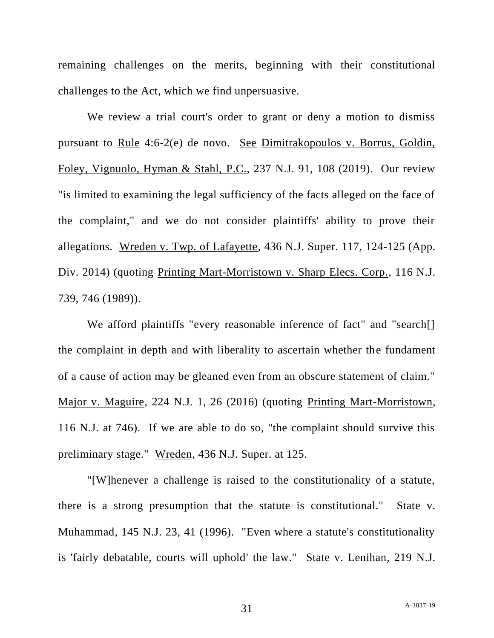remaining challenges on the merits, beginning with their constitutional challenges to the Act, which we find unpersuasive.

We review a trial court's order to grant or deny a motion to dismiss pursuant to Rule 4:6-2(e) de novo. See Dimitrakopoulos v. Borrus, Goldin, Foley, Vignuolo, Hyman & Stahl, P.C., 237 N.J. 91, 108 (2019). Our review "is limited to examining the legal sufficiency of the facts alleged on the face of the complaint," and we do not consider plaintiffs' ability to prove their allegations. Wreden v. Twp. of Lafayette, 436 N.J. Super. 117, 124-125 (App. Div. 2014) (quoting Printing Mart-Morristown v. Sharp Elecs. Corp., 116 N.J. 739, 746 (1989)).

We afford plaintiffs "every reasonable inference of fact" and "search<sup>[]</sup> the complaint in depth and with liberality to ascertain whether the fundament of a cause of action may be gleaned even from an obscure statement of claim." Major v. Maguire, 224 N.J. 1, 26 (2016) (quoting Printing Mart-Morristown, 116 N.J. at 746). If we are able to do so, "the complaint should survive this preliminary stage." Wreden, 436 N.J. Super. at 125.

"[W]henever a challenge is raised to the constitutionality of a statute, there is a strong presumption that the statute is constitutional." State v. Muhammad, 145 N.J. 23, 41 (1996). "Even where a statute's constitutionality is 'fairly debatable, courts will uphold' the law." State v. Lenihan, 219 N.J.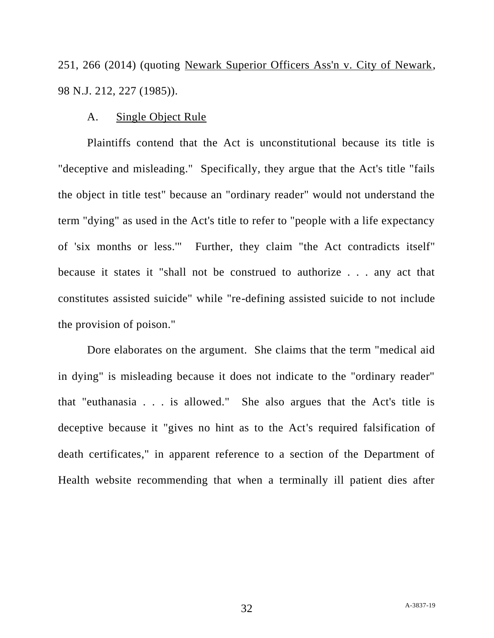251, 266 (2014) (quoting Newark Superior Officers Ass'n v. City of Newark, 98 N.J. 212, 227 (1985)).

# A. Single Object Rule

Plaintiffs contend that the Act is unconstitutional because its title is "deceptive and misleading." Specifically, they argue that the Act's title "fails the object in title test" because an "ordinary reader" would not understand the term "dying" as used in the Act's title to refer to "people with a life expectancy of 'six months or less.'" Further, they claim "the Act contradicts itself" because it states it "shall not be construed to authorize . . . any act that constitutes assisted suicide" while "re-defining assisted suicide to not include the provision of poison."

Dore elaborates on the argument. She claims that the term "medical aid in dying" is misleading because it does not indicate to the "ordinary reader" that "euthanasia . . . is allowed." She also argues that the Act's title is deceptive because it "gives no hint as to the Act's required falsification of death certificates," in apparent reference to a section of the Department of Health website recommending that when a terminally ill patient dies after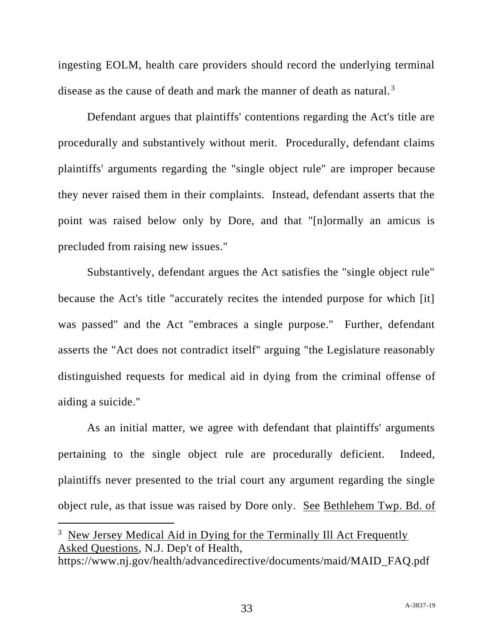ingesting EOLM, health care providers should record the underlying terminal disease as the cause of death and mark the manner of death as natural.<sup>3</sup>

Defendant argues that plaintiffs' contentions regarding the Act's title are procedurally and substantively without merit. Procedurally, defendant claims plaintiffs' arguments regarding the "single object rule" are improper because they never raised them in their complaints. Instead, defendant asserts that the point was raised below only by Dore, and that "[n]ormally an amicus is precluded from raising new issues."

Substantively, defendant argues the Act satisfies the "single object rule" because the Act's title "accurately recites the intended purpose for which [it] was passed" and the Act "embraces a single purpose." Further, defendant asserts the "Act does not contradict itself" arguing "the Legislature reasonably distinguished requests for medical aid in dying from the criminal offense of aiding a suicide."

As an initial matter, we agree with defendant that plaintiffs' arguments pertaining to the single object rule are procedurally deficient. Indeed, plaintiffs never presented to the trial court any argument regarding the single object rule, as that issue was raised by Dore only. See Bethlehem Twp. Bd. of

<sup>&</sup>lt;sup>3</sup> New Jersey Medical Aid in Dying for the Terminally Ill Act Frequently Asked Questions, N.J. Dep't of Health,

https://www.nj.gov/health/advancedirective/documents/maid/MAID\_FAQ.pdf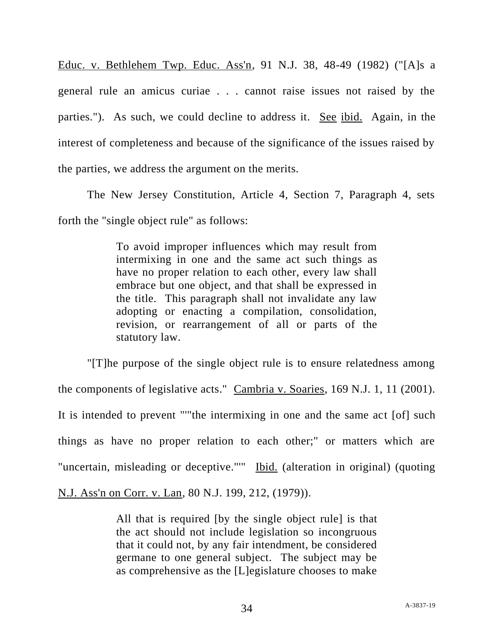Educ. v. Bethlehem Twp. Educ. Ass'n, 91 N.J. 38, 48-49 (1982) ("[A]s a general rule an amicus curiae . . . cannot raise issues not raised by the parties."). As such, we could decline to address it. See ibid. Again, in the interest of completeness and because of the significance of the issues raised by the parties, we address the argument on the merits.

The New Jersey Constitution, Article 4, Section 7, Paragraph 4, sets forth the "single object rule" as follows:

> To avoid improper influences which may result from intermixing in one and the same act such things as have no proper relation to each other, every law shall embrace but one object, and that shall be expressed in the title. This paragraph shall not invalidate any law adopting or enacting a compilation, consolidation, revision, or rearrangement of all or parts of the statutory law.

"[T]he purpose of the single object rule is to ensure relatedness among the components of legislative acts." Cambria v. Soaries, 169 N.J. 1, 11 (2001). It is intended to prevent "'"the intermixing in one and the same act [of] such things as have no proper relation to each other;" or matters which are "uncertain, misleading or deceptive."" Ibid. (alteration in original) (quoting N.J. Ass'n on Corr. v. Lan, 80 N.J. 199, 212, (1979)).

> All that is required [by the single object rule] is that the act should not include legislation so incongruous that it could not, by any fair intendment, be considered germane to one general subject. The subject may be as comprehensive as the [L]egislature chooses to make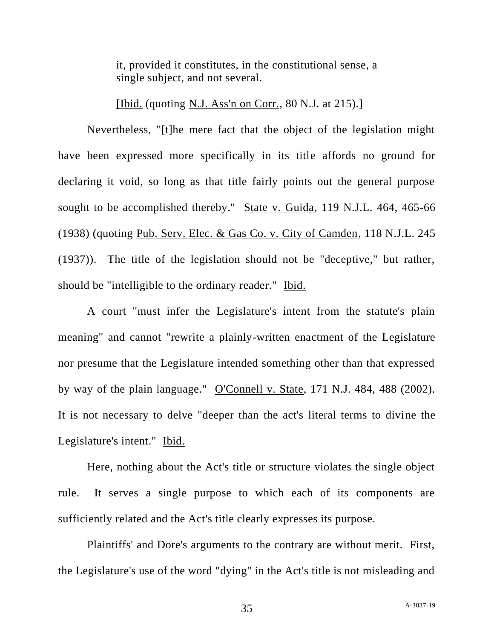it, provided it constitutes, in the constitutional sense, a single subject, and not several.

[Ibid. (quoting N.J. Ass'n on Corr.,  $80$  N.J. at 215).]

Nevertheless, "[t]he mere fact that the object of the legislation might have been expressed more specifically in its title affords no ground for declaring it void, so long as that title fairly points out the general purpose sought to be accomplished thereby." State v. Guida, 119 N.J.L. 464, 465-66 (1938) (quoting Pub. Serv. Elec. & Gas Co. v. City of Camden, 118 N.J.L. 245 (1937)). The title of the legislation should not be "deceptive," but rather, should be "intelligible to the ordinary reader." Ibid.

A court "must infer the Legislature's intent from the statute's plain meaning" and cannot "rewrite a plainly-written enactment of the Legislature nor presume that the Legislature intended something other than that expressed by way of the plain language." O'Connell v. State, 171 N.J. 484, 488 (2002). It is not necessary to delve "deeper than the act's literal terms to divine the Legislature's intent." Ibid.

Here, nothing about the Act's title or structure violates the single object rule. It serves a single purpose to which each of its components are sufficiently related and the Act's title clearly expresses its purpose.

Plaintiffs' and Dore's arguments to the contrary are without merit. First, the Legislature's use of the word "dying" in the Act's title is not misleading and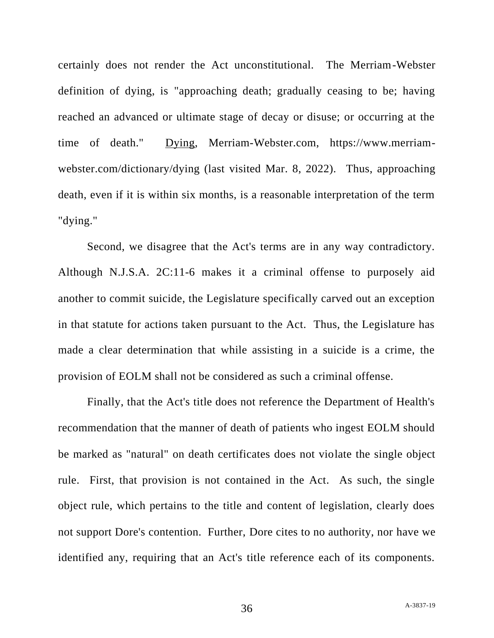certainly does not render the Act unconstitutional. The Merriam-Webster definition of dying, is "approaching death; gradually ceasing to be; having reached an advanced or ultimate stage of decay or disuse; or occurring at the time of death." Dying, Merriam-Webster.com, https://www.merriamwebster.com/dictionary/dying (last visited Mar. 8, 2022). Thus, approaching death, even if it is within six months, is a reasonable interpretation of the term "dying."

Second, we disagree that the Act's terms are in any way contradictory. Although N.J.S.A. 2C:11-6 makes it a criminal offense to purposely aid another to commit suicide, the Legislature specifically carved out an exception in that statute for actions taken pursuant to the Act. Thus, the Legislature has made a clear determination that while assisting in a suicide is a crime, the provision of EOLM shall not be considered as such a criminal offense.

Finally, that the Act's title does not reference the Department of Health's recommendation that the manner of death of patients who ingest EOLM should be marked as "natural" on death certificates does not violate the single object rule. First, that provision is not contained in the Act. As such, the single object rule, which pertains to the title and content of legislation, clearly does not support Dore's contention. Further, Dore cites to no authority, nor have we identified any, requiring that an Act's title reference each of its components.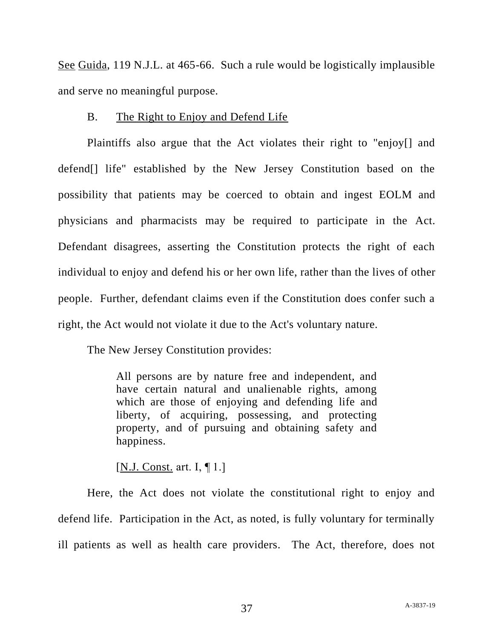See Guida, 119 N.J.L. at 465-66. Such a rule would be logistically implausible and serve no meaningful purpose.

# B. The Right to Enjoy and Defend Life

Plaintiffs also argue that the Act violates their right to "enjoy[] and defend[] life" established by the New Jersey Constitution based on the possibility that patients may be coerced to obtain and ingest EOLM and physicians and pharmacists may be required to participate in the Act. Defendant disagrees, asserting the Constitution protects the right of each individual to enjoy and defend his or her own life, rather than the lives of other people. Further, defendant claims even if the Constitution does confer such a right, the Act would not violate it due to the Act's voluntary nature.

The New Jersey Constitution provides:

All persons are by nature free and independent, and have certain natural and unalienable rights, among which are those of enjoying and defending life and liberty, of acquiring, possessing, and protecting property, and of pursuing and obtaining safety and happiness.

[N.J. Const. art. I, ¶ 1.]

Here, the Act does not violate the constitutional right to enjoy and defend life. Participation in the Act, as noted, is fully voluntary for terminally ill patients as well as health care providers. The Act, therefore, does not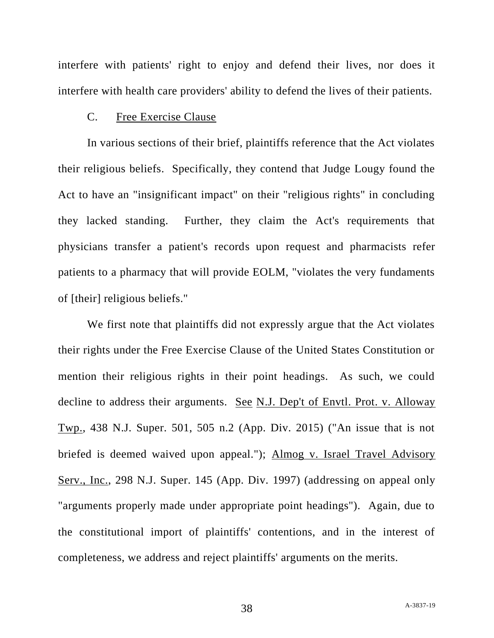interfere with patients' right to enjoy and defend their lives, nor does it interfere with health care providers' ability to defend the lives of their patients.

### C. Free Exercise Clause

In various sections of their brief, plaintiffs reference that the Act violates their religious beliefs. Specifically, they contend that Judge Lougy found the Act to have an "insignificant impact" on their "religious rights" in concluding they lacked standing. Further, they claim the Act's requirements that physicians transfer a patient's records upon request and pharmacists refer patients to a pharmacy that will provide EOLM, "violates the very fundaments of [their] religious beliefs."

We first note that plaintiffs did not expressly argue that the Act violates their rights under the Free Exercise Clause of the United States Constitution or mention their religious rights in their point headings. As such, we could decline to address their arguments. See N.J. Dep't of Envtl. Prot. v. Alloway Twp., 438 N.J. Super. 501, 505 n.2 (App. Div. 2015) ("An issue that is not briefed is deemed waived upon appeal."); Almog v. Israel Travel Advisory Serv., Inc., 298 N.J. Super. 145 (App. Div. 1997) (addressing on appeal only "arguments properly made under appropriate point headings"). Again, due to the constitutional import of plaintiffs' contentions, and in the interest of completeness, we address and reject plaintiffs' arguments on the merits.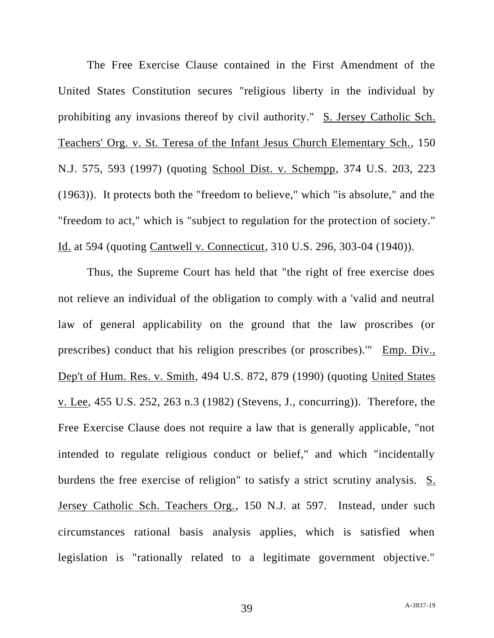The Free Exercise Clause contained in the First Amendment of the United States Constitution secures "religious liberty in the individual by prohibiting any invasions thereof by civil authority." S. Jersey Catholic Sch. Teachers' Org. v. St. Teresa of the Infant Jesus Church Elementary Sch., 150 N.J. 575, 593 (1997) (quoting School Dist. v. Schempp, 374 U.S. 203, 223 (1963)). It protects both the "freedom to believe," which "is absolute," and the "freedom to act," which is "subject to regulation for the protection of society." Id. at 594 (quoting Cantwell v. Connecticut, 310 U.S. 296, 303-04 (1940)).

Thus, the Supreme Court has held that "the right of free exercise does not relieve an individual of the obligation to comply with a 'valid and neutral law of general applicability on the ground that the law proscribes (or prescribes) conduct that his religion prescribes (or proscribes).'" Emp. Div., Dep't of Hum. Res. v. Smith, 494 U.S. 872, 879 (1990) (quoting United States v. Lee, 455 U.S. 252, 263 n.3 (1982) (Stevens, J., concurring)). Therefore, the Free Exercise Clause does not require a law that is generally applicable, "not intended to regulate religious conduct or belief," and which "incidentally burdens the free exercise of religion" to satisfy a strict scrutiny analysis. S. Jersey Catholic Sch. Teachers Org., 150 N.J. at 597. Instead, under such circumstances rational basis analysis applies, which is satisfied when legislation is "rationally related to a legitimate government objective."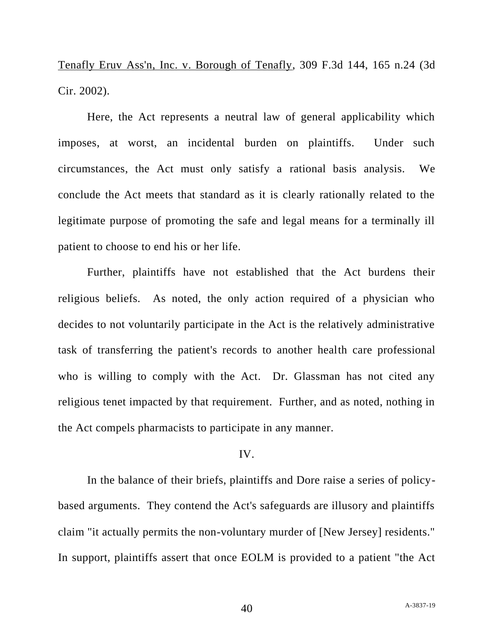Tenafly Eruv Ass'n, Inc. v. Borough of Tenafly, 309 F.3d 144, 165 n.24 (3d Cir. 2002).

Here, the Act represents a neutral law of general applicability which imposes, at worst, an incidental burden on plaintiffs. Under such circumstances, the Act must only satisfy a rational basis analysis. We conclude the Act meets that standard as it is clearly rationally related to the legitimate purpose of promoting the safe and legal means for a terminally ill patient to choose to end his or her life.

Further, plaintiffs have not established that the Act burdens their religious beliefs. As noted, the only action required of a physician who decides to not voluntarily participate in the Act is the relatively administrative task of transferring the patient's records to another health care professional who is willing to comply with the Act. Dr. Glassman has not cited any religious tenet impacted by that requirement. Further, and as noted, nothing in the Act compels pharmacists to participate in any manner.

# IV.

In the balance of their briefs, plaintiffs and Dore raise a series of policybased arguments. They contend the Act's safeguards are illusory and plaintiffs claim "it actually permits the non-voluntary murder of [New Jersey] residents." In support, plaintiffs assert that once EOLM is provided to a patient "the Act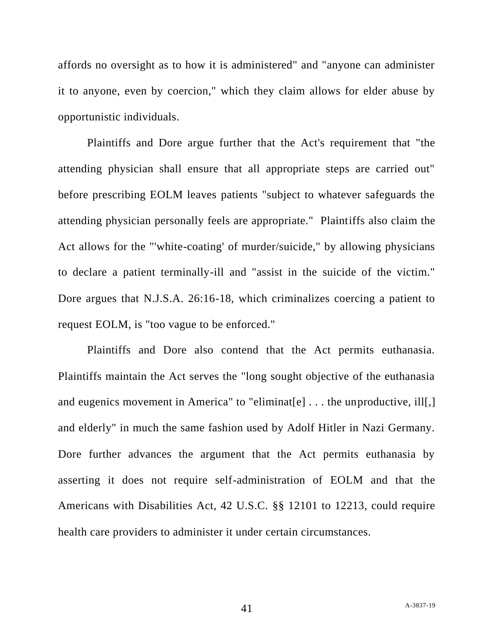affords no oversight as to how it is administered" and "anyone can administer it to anyone, even by coercion," which they claim allows for elder abuse by opportunistic individuals.

Plaintiffs and Dore argue further that the Act's requirement that "the attending physician shall ensure that all appropriate steps are carried out" before prescribing EOLM leaves patients "subject to whatever safeguards the attending physician personally feels are appropriate." Plaintiffs also claim the Act allows for the "'white-coating' of murder/suicide," by allowing physicians to declare a patient terminally-ill and "assist in the suicide of the victim." Dore argues that N.J.S.A. 26:16-18, which criminalizes coercing a patient to request EOLM, is "too vague to be enforced."

Plaintiffs and Dore also contend that the Act permits euthanasia. Plaintiffs maintain the Act serves the "long sought objective of the euthanasia and eugenics movement in America" to "eliminat[e] . . . the unproductive, ill[,] and elderly" in much the same fashion used by Adolf Hitler in Nazi Germany. Dore further advances the argument that the Act permits euthanasia by asserting it does not require self-administration of EOLM and that the Americans with Disabilities Act, 42 U.S.C. §§ 12101 to 12213, could require health care providers to administer it under certain circumstances.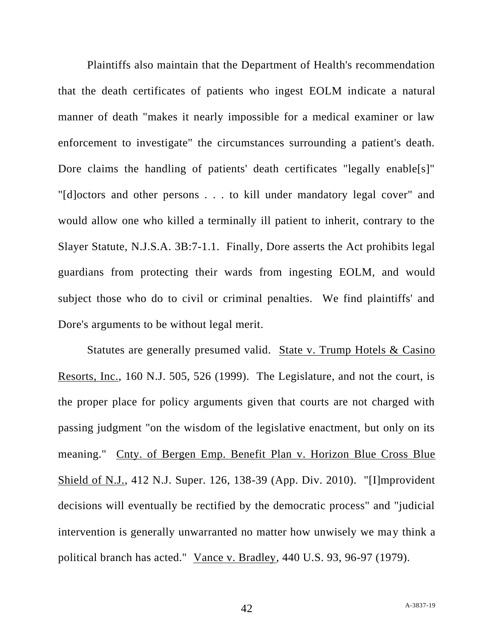Plaintiffs also maintain that the Department of Health's recommendation that the death certificates of patients who ingest EOLM indicate a natural manner of death "makes it nearly impossible for a medical examiner or law enforcement to investigate" the circumstances surrounding a patient's death. Dore claims the handling of patients' death certificates "legally enable[s]" "[d]octors and other persons . . . to kill under mandatory legal cover" and would allow one who killed a terminally ill patient to inherit, contrary to the Slayer Statute, N.J.S.A. 3B:7-1.1. Finally, Dore asserts the Act prohibits legal guardians from protecting their wards from ingesting EOLM, and would subject those who do to civil or criminal penalties. We find plaintiffs' and Dore's arguments to be without legal merit.

Statutes are generally presumed valid. State v. Trump Hotels & Casino Resorts, Inc., 160 N.J. 505, 526 (1999). The Legislature, and not the court, is the proper place for policy arguments given that courts are not charged with passing judgment "on the wisdom of the legislative enactment, but only on its meaning." Cnty. of Bergen Emp. Benefit Plan v. Horizon Blue Cross Blue Shield of N.J., 412 N.J. Super. 126, 138-39 (App. Div. 2010). "[I]mprovident decisions will eventually be rectified by the democratic process" and "judicial intervention is generally unwarranted no matter how unwisely we may think a political branch has acted." Vance v. Bradley, 440 U.S. 93, 96-97 (1979).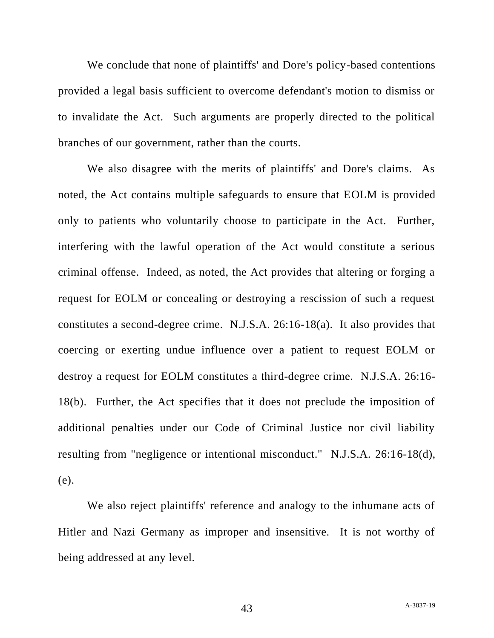We conclude that none of plaintiffs' and Dore's policy-based contentions provided a legal basis sufficient to overcome defendant's motion to dismiss or to invalidate the Act. Such arguments are properly directed to the political branches of our government, rather than the courts.

We also disagree with the merits of plaintiffs' and Dore's claims. As noted, the Act contains multiple safeguards to ensure that EOLM is provided only to patients who voluntarily choose to participate in the Act. Further, interfering with the lawful operation of the Act would constitute a serious criminal offense. Indeed, as noted, the Act provides that altering or forging a request for EOLM or concealing or destroying a rescission of such a request constitutes a second-degree crime. N.J.S.A. 26:16-18(a). It also provides that coercing or exerting undue influence over a patient to request EOLM or destroy a request for EOLM constitutes a third-degree crime. N.J.S.A. 26:16- 18(b). Further, the Act specifies that it does not preclude the imposition of additional penalties under our Code of Criminal Justice nor civil liability resulting from "negligence or intentional misconduct." N.J.S.A. 26:16-18(d), (e).

We also reject plaintiffs' reference and analogy to the inhumane acts of Hitler and Nazi Germany as improper and insensitive. It is not worthy of being addressed at any level.